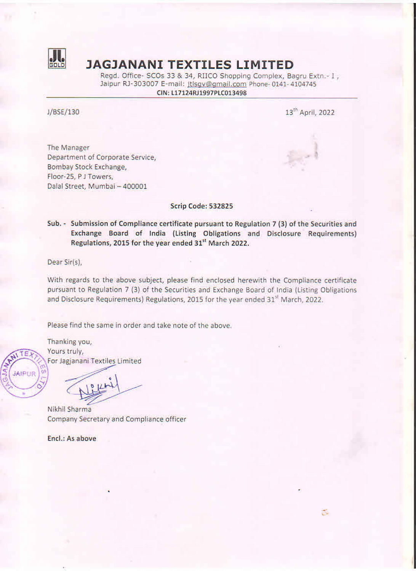

## JAGJANANI TEXTILES LIMITED

Regd. Office- SCOs 33 & 34, RIICO Shopping Complex, Bagru Extn.- 1, Jaipur RJ-303007 E-mail: jtlsgv@gmail.com Phone- 0141-4104745 CIN: L17124RJ1997PLC013498

J/BSE/130 13" April, 2022

3

The Manager Department of Corporate Service, Bombay Stock Exchange, Floor-25, PJ Towers, Dalal Street, Mumbai — 400001

Scrip Code: 532825

Sub. - Submission of Compliance certificate pursuant to Regulation 7 (3) of the Securities and Exchange Board of India (Listing Obligations and Disclosure Requirements) Regulations, 2015 for the year ended 31" March 2022.

Dear Sir(s),

With regards to the above subject, please find enclosed herewith the Compliance certificate pursuant to Regulation 7 (3) of the Securities and Exchange Board of India (Listing Obligations and Disclosure Requirements) Regulations, 2015 for the year ended 31" March, 2022,

Please find the same in order and take note of the above.

Thanking you,  $TFR$  Yours truly,

X "The For Jagjanani Textiles Limited"

Nikhil Sharma Company Secretary and Compliance officer

Encl.: As above

*JAIPUR*